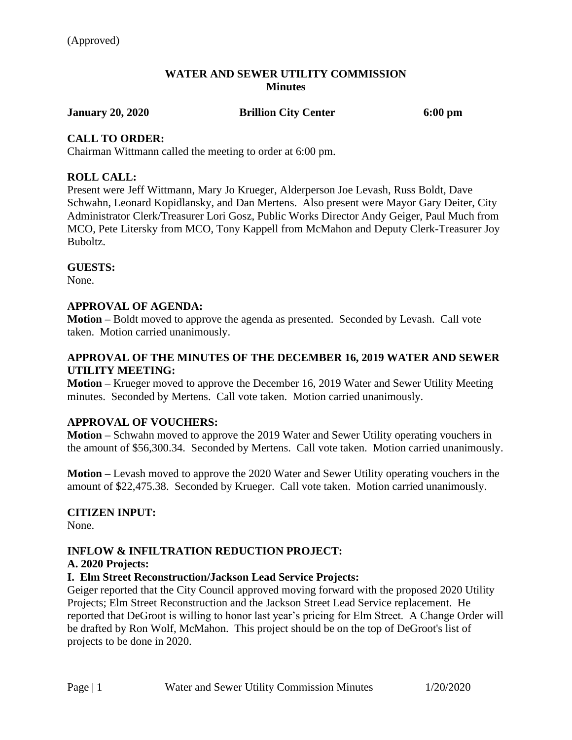### **WATER AND SEWER UTILITY COMMISSION Minutes**

**January 20, 2020 Brillion City Center 6:00 pm**

# **CALL TO ORDER:**

Chairman Wittmann called the meeting to order at 6:00 pm.

# **ROLL CALL:**

Present were Jeff Wittmann, Mary Jo Krueger, Alderperson Joe Levash, Russ Boldt, Dave Schwahn, Leonard Kopidlansky, and Dan Mertens. Also present were Mayor Gary Deiter, City Administrator Clerk/Treasurer Lori Gosz, Public Works Director Andy Geiger, Paul Much from MCO, Pete Litersky from MCO, Tony Kappell from McMahon and Deputy Clerk-Treasurer Joy Buboltz.

# **GUESTS:**

None.

# **APPROVAL OF AGENDA:**

**Motion –** Boldt moved to approve the agenda as presented. Seconded by Levash. Call vote taken. Motion carried unanimously.

# **APPROVAL OF THE MINUTES OF THE DECEMBER 16, 2019 WATER AND SEWER UTILITY MEETING:**

**Motion –** Krueger moved to approve the December 16, 2019 Water and Sewer Utility Meeting minutes. Seconded by Mertens. Call vote taken. Motion carried unanimously.

# **APPROVAL OF VOUCHERS:**

**Motion –** Schwahn moved to approve the 2019 Water and Sewer Utility operating vouchers in the amount of \$56,300.34. Seconded by Mertens. Call vote taken. Motion carried unanimously.

**Motion –** Levash moved to approve the 2020 Water and Sewer Utility operating vouchers in the amount of \$22,475.38. Seconded by Krueger. Call vote taken. Motion carried unanimously.

# **CITIZEN INPUT:**

None.

# **INFLOW & INFILTRATION REDUCTION PROJECT:**

# **A. 2020 Projects:**

# **I. Elm Street Reconstruction/Jackson Lead Service Projects:**

Geiger reported that the City Council approved moving forward with the proposed 2020 Utility Projects; Elm Street Reconstruction and the Jackson Street Lead Service replacement. He reported that DeGroot is willing to honor last year's pricing for Elm Street. A Change Order will be drafted by Ron Wolf, McMahon. This project should be on the top of DeGroot's list of projects to be done in 2020.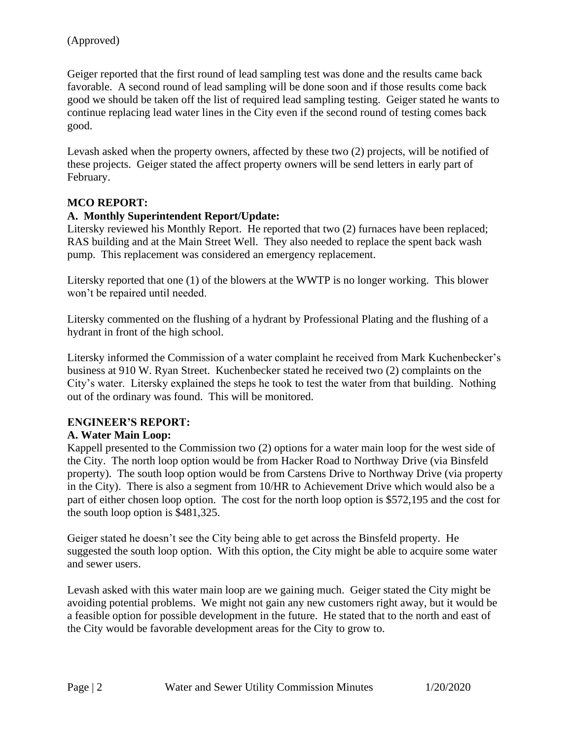Geiger reported that the first round of lead sampling test was done and the results came back favorable. A second round of lead sampling will be done soon and if those results come back good we should be taken off the list of required lead sampling testing. Geiger stated he wants to continue replacing lead water lines in the City even if the second round of testing comes back good.

Levash asked when the property owners, affected by these two (2) projects, will be notified of these projects. Geiger stated the affect property owners will be send letters in early part of February.

# **MCO REPORT:**

#### **A. Monthly Superintendent Report/Update:**

Litersky reviewed his Monthly Report. He reported that two (2) furnaces have been replaced; RAS building and at the Main Street Well. They also needed to replace the spent back wash pump. This replacement was considered an emergency replacement.

Litersky reported that one (1) of the blowers at the WWTP is no longer working. This blower won't be repaired until needed.

Litersky commented on the flushing of a hydrant by Professional Plating and the flushing of a hydrant in front of the high school.

Litersky informed the Commission of a water complaint he received from Mark Kuchenbecker's business at 910 W. Ryan Street. Kuchenbecker stated he received two (2) complaints on the City's water. Litersky explained the steps he took to test the water from that building. Nothing out of the ordinary was found. This will be monitored.

# **ENGINEER'S REPORT:**

# **A. Water Main Loop:**

Kappell presented to the Commission two (2) options for a water main loop for the west side of the City. The north loop option would be from Hacker Road to Northway Drive (via Binsfeld property). The south loop option would be from Carstens Drive to Northway Drive (via property in the City). There is also a segment from 10/HR to Achievement Drive which would also be a part of either chosen loop option. The cost for the north loop option is \$572,195 and the cost for the south loop option is \$481,325.

Geiger stated he doesn't see the City being able to get across the Binsfeld property. He suggested the south loop option. With this option, the City might be able to acquire some water and sewer users.

Levash asked with this water main loop are we gaining much. Geiger stated the City might be avoiding potential problems. We might not gain any new customers right away, but it would be a feasible option for possible development in the future. He stated that to the north and east of the City would be favorable development areas for the City to grow to.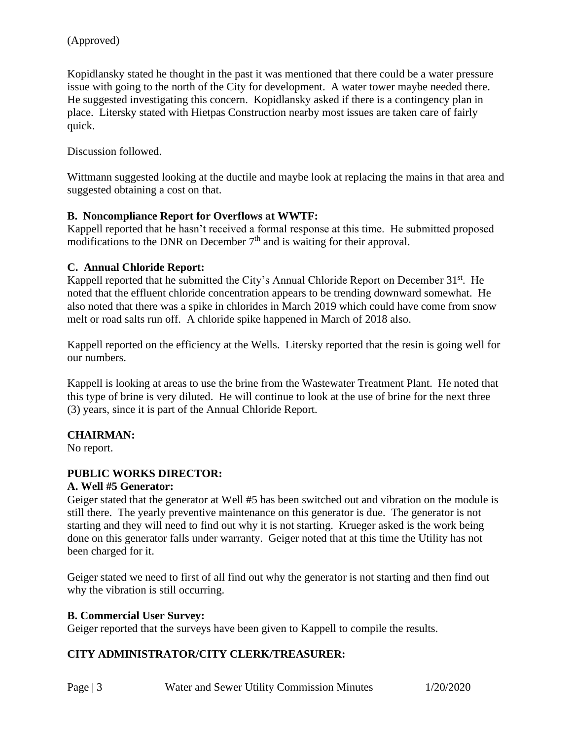Kopidlansky stated he thought in the past it was mentioned that there could be a water pressure issue with going to the north of the City for development. A water tower maybe needed there. He suggested investigating this concern. Kopidlansky asked if there is a contingency plan in place. Litersky stated with Hietpas Construction nearby most issues are taken care of fairly quick.

Discussion followed.

Wittmann suggested looking at the ductile and maybe look at replacing the mains in that area and suggested obtaining a cost on that.

### **B. Noncompliance Report for Overflows at WWTF:**

Kappell reported that he hasn't received a formal response at this time. He submitted proposed modifications to the DNR on December  $7<sup>th</sup>$  and is waiting for their approval.

#### **C. Annual Chloride Report:**

Kappell reported that he submitted the City's Annual Chloride Report on December 31<sup>st</sup>. He noted that the effluent chloride concentration appears to be trending downward somewhat. He also noted that there was a spike in chlorides in March 2019 which could have come from snow melt or road salts run off. A chloride spike happened in March of 2018 also.

Kappell reported on the efficiency at the Wells. Litersky reported that the resin is going well for our numbers.

Kappell is looking at areas to use the brine from the Wastewater Treatment Plant. He noted that this type of brine is very diluted. He will continue to look at the use of brine for the next three (3) years, since it is part of the Annual Chloride Report.

# **CHAIRMAN:**

No report.

# **PUBLIC WORKS DIRECTOR:**

#### **A. Well #5 Generator:**

Geiger stated that the generator at Well #5 has been switched out and vibration on the module is still there. The yearly preventive maintenance on this generator is due. The generator is not starting and they will need to find out why it is not starting. Krueger asked is the work being done on this generator falls under warranty. Geiger noted that at this time the Utility has not been charged for it.

Geiger stated we need to first of all find out why the generator is not starting and then find out why the vibration is still occurring.

#### **B. Commercial User Survey:**

Geiger reported that the surveys have been given to Kappell to compile the results.

#### **CITY ADMINISTRATOR/CITY CLERK/TREASURER:**